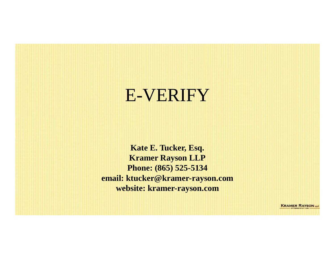### E-VERIFY

**Kate E. Tucker, Esq. Kramer Rayson LLP Phone: (865) 525-5134 email: ktucker@kramer-rayson.com website: kramer-rayson.com**

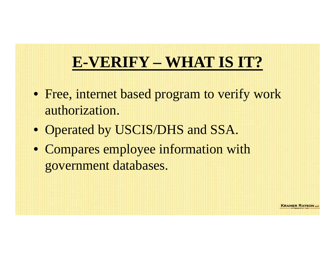## **E-VERIFY – WHAT IS IT?**

RAMER RAYSON

- Free, internet based program to verify work authorization.
- Operated by USCIS/DHS and SSA.
- Compares employee information with government databases.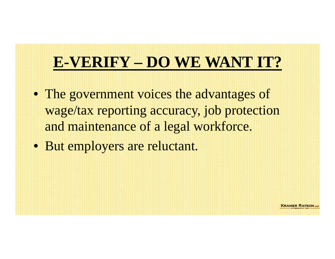## **E-VERIFY – DO WE WANT IT?**

- The government voices the advantages of wage/tax reporting accuracy, job protection and maintenance of a legal workforce.
- But employers are reluctant.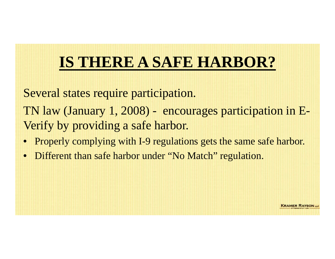## **IS THERE A SAFE HARBOR?**

- Several states require participation.
- TN law (January 1, 2008) encourages participation in E-Verify by providing a safe harbor.
- Properly complying with I-9 regulations gets the same safe harbor.
- Different than safe harbor under "No Match" regulation.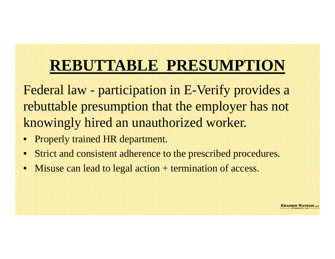## **REBUTTABLE PRESUMPTION**

Federal law - participation in E-Verify provides a rebuttable presumption that the employer has not knowingly hired an unauthorized worker.

- Properly trained HR department.
- Strict and consistent adherence to the prescribed procedures.
- Misuse can lead to legal action + termination of access.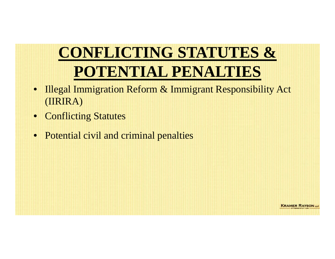# **CONFLICTING STATUTES & POTENTIAL PENALTIES**

- Illegal Immigration Reform & Immigrant Responsibility Act (IIRIRA)
- Conflicting Statutes
- Potential civil and criminal penalties

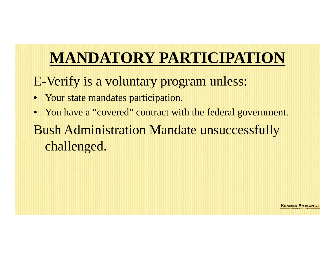## **MANDATORY PARTICIPATION**

E-Verify is a voluntary program unless:

- Your state mandates participation.
- You have a "covered" contract with the federal government.
- Bush Administration Mandate unsuccessfully challenged.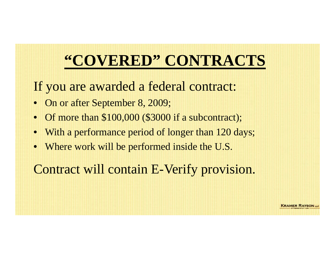### **"COVERED" CONTRACTS**

#### If you are awarded a federal contract:

- On or after September 8, 2009;
- Of more than \$100,000 (\$3000 if a subcontract);
- With a performance period of longer than 120 days;
- Where work will be performed inside the U.S.

#### Contract will contain E-Verify provision.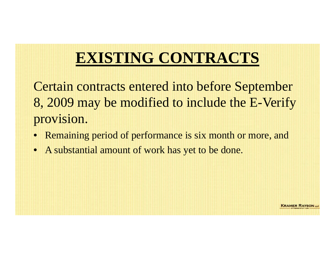### **EXISTING CONTRACTS**

Certain contracts entered into before September 8, 2009 may be modified to include the E-Verify provision.

- Remaining period of performance is six month or more, and
- A substantial amount of work has yet to be done.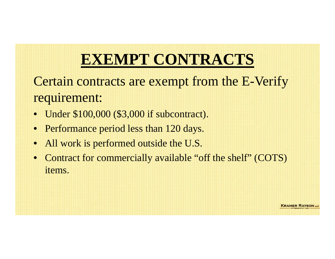### **EXEMPT CONTRACTS**

### Certain contracts are exempt from the E-Verify requirement:

- Under \$100,000 (\$3,000 if subcontract).
- Performance period less than 120 days.
- All work is performed outside the U.S.
- Contract for commercially available "off the shelf" (COTS) items.

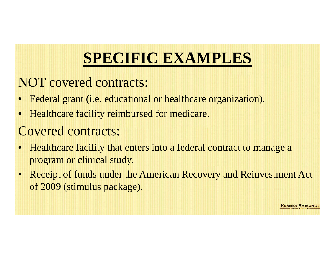### **SPECIFIC EXAMPLES**

#### NOT covered contracts:

- Federal grant (i.e. educational or healthcare organization).
- Healthcare facility reimbursed for medicare.

#### Covered contracts:

- Healthcare facility that enters into a federal contract to manage a program or clinical study.
- Receipt of funds under the American Recovery and Reinvestment Act of 2009 (stimulus package).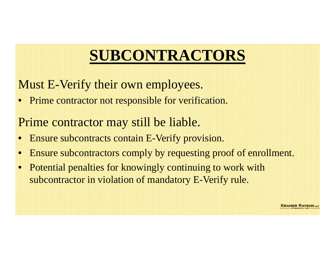## **SUBCONTRACTORS**

- Must E-Verify their own employees.
- Prime contractor not responsible for verification.
- Prime contractor may still be liable.
- Ensure subcontracts contain E-Verify provision.
- Ensure subcontractors comply by requesting proof of enrollment.
- Potential penalties for knowingly continuing to work with subcontractor in violation of mandatory E-Verify rule.

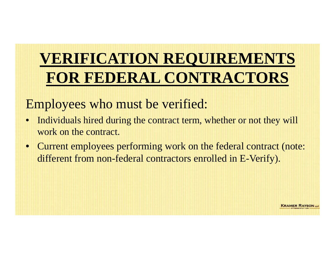# **VERIFICATION REQUIREMENTS FOR FEDERAL CONTRACTORS**

#### Employees who must be verified:

- Individuals hired during the contract term, whether or not they will work on the contract.
- Current employees performing work on the federal contract (note: different from non-federal contractors enrolled in E-Verify).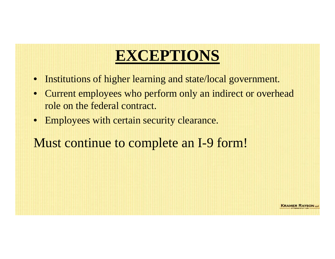### **EXCEPTIONS**

- Institutions of higher learning and state/local government.
- Current employees who perform only an indirect or overhead role on the federal contract.
- Employees with certain security clearance.

Must continue to complete an I-9 form!

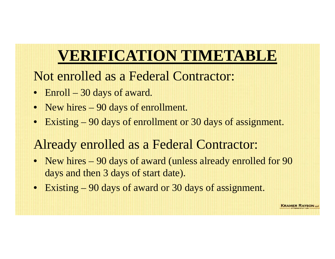### **VERIFICATION TIMETABLE**

- Not enrolled as a Federal Contractor:
- Enroll 30 days of award.
- New hires 90 days of enrollment.
- Existing 90 days of enrollment or 30 days of assignment.

### Already enrolled as a Federal Contractor:

- New hires 90 days of award (unless already enrolled for 90 days and then 3 days of start date).
- Existing 90 days of award or 30 days of assignment.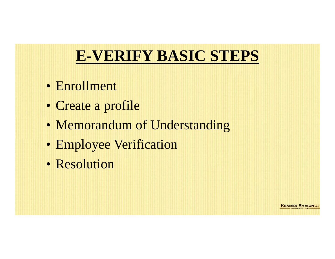### **E-VERIFY BASIC STEPS**

- Enrollment
- Create a profile
- Memorandum of Understanding
- Employee Verification
- Resolution

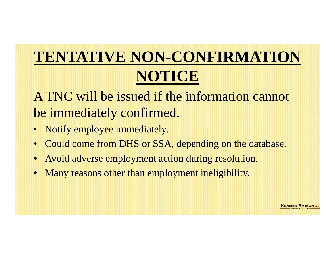# **TENTATIVE NON-CONFIRMATION NOTICE**

- A TNC will be issued if the information cannot be immediately confirmed.
- Notify employee immediately.
- Could come from DHS or SSA, depending on the database.
- Avoid adverse employment action during resolution.
- Many reasons other than employment ineligibility.

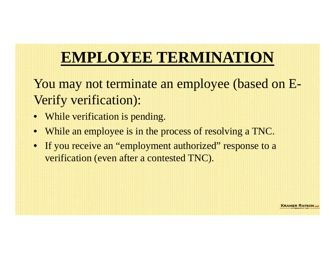### **EMPLOYEE TERMINATION**

You may not terminate an employee (based on E-Verify verification):

- While verification is pending.
- While an employee is in the process of resolving a TNC.
- If you receive an "employment authorized" response to a verification (even after a contested TNC).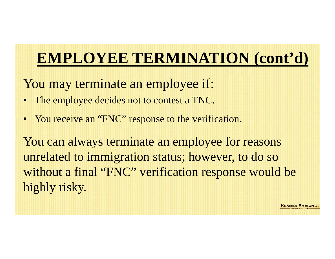### **EMPLOYEE TERMINATION (cont'd)**

- You may terminate an employee if:
- The employee decides not to contest a TNC.
- You receive an "FNC" response to the verification.

You can always terminate an employee for reasons unrelated to immigration status; however, to do so without a final "FNC" verification response would be highly risky.